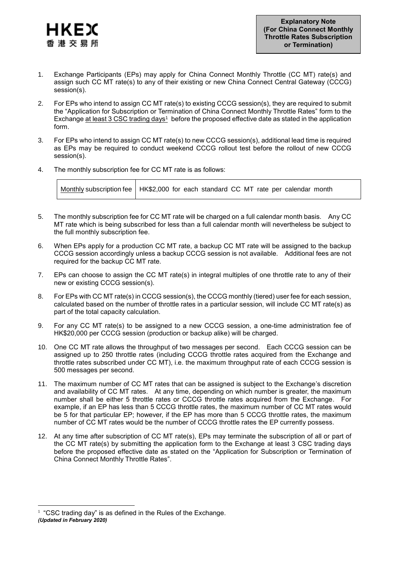

- 1. Exchange Participants (EPs) may apply for China Connect Monthly Throttle (CC MT) rate(s) and assign such CC MT rate(s) to any of their existing or new China Connect Central Gateway (CCCG) session(s).
- 2. For EPs who intend to assign CC MT rate(s) to existing CCCG session(s), they are required to submit the "Application for Subscription or Termination of China Connect Monthly Throttle Rates" form to the Exchange at least 3 CSC trading days<sup>1</sup> before the proposed effective date as stated in the application form.
- 3. For EPs who intend to assign CC MT rate(s) to new CCCG session(s), additional lead time is required as EPs may be required to conduct weekend CCCG rollout test before the rollout of new CCCG session(s).
- 4. The monthly subscription fee for CC MT rate is as follows:

| Monthly subscription fee   HK\$2,000 for each standard CC MT rate per calendar month |  |
|--------------------------------------------------------------------------------------|--|
|                                                                                      |  |

- 5. The monthly subscription fee for CC MT rate will be charged on a full calendar month basis. Any CC MT rate which is being subscribed for less than a full calendar month will nevertheless be subject to the full monthly subscription fee.
- 6. When EPs apply for a production CC MT rate, a backup CC MT rate will be assigned to the backup CCCG session accordingly unless a backup CCCG session is not available. Additional fees are not required for the backup CC MT rate.
- 7. EPs can choose to assign the CC MT rate(s) in integral multiples of one throttle rate to any of their new or existing CCCG session(s).
- 8. For EPs with CC MT rate(s) in CCCG session(s), the CCCG monthly (tiered) user fee for each session, calculated based on the number of throttle rates in a particular session, will include CC MT rate(s) as part of the total capacity calculation.
- 9. For any CC MT rate(s) to be assigned to a new CCCG session, a one-time administration fee of HK\$20,000 per CCCG session (production or backup alike) will be charged.
- 10. One CC MT rate allows the throughput of two messages per second. Each CCCG session can be assigned up to 250 throttle rates (including CCCG throttle rates acquired from the Exchange and throttle rates subscribed under CC MT), i.e. the maximum throughput rate of each CCCG session is 500 messages per second.
- 11. The maximum number of CC MT rates that can be assigned is subject to the Exchange's discretion and availability of CC MT rates. At any time, depending on which number is greater, the maximum number shall be either 5 throttle rates or CCCG throttle rates acquired from the Exchange. For example, if an EP has less than 5 CCCG throttle rates, the maximum number of CC MT rates would be 5 for that particular EP; however, if the EP has more than 5 CCCG throttle rates, the maximum number of CC MT rates would be the number of CCCG throttle rates the EP currently possess.
- 12. At any time after subscription of CC MT rate(s), EPs may terminate the subscription of all or part of the CC MT rate(s) by submitting the application form to the Exchange at least 3 CSC trading days before the proposed effective date as stated on the "Application for Subscription or Termination of China Connect Monthly Throttle Rates".

1

*<sup>(</sup>Updated in February 2020)* <sup>1</sup> "CSC trading day" is as defined in the Rules of the Exchange.